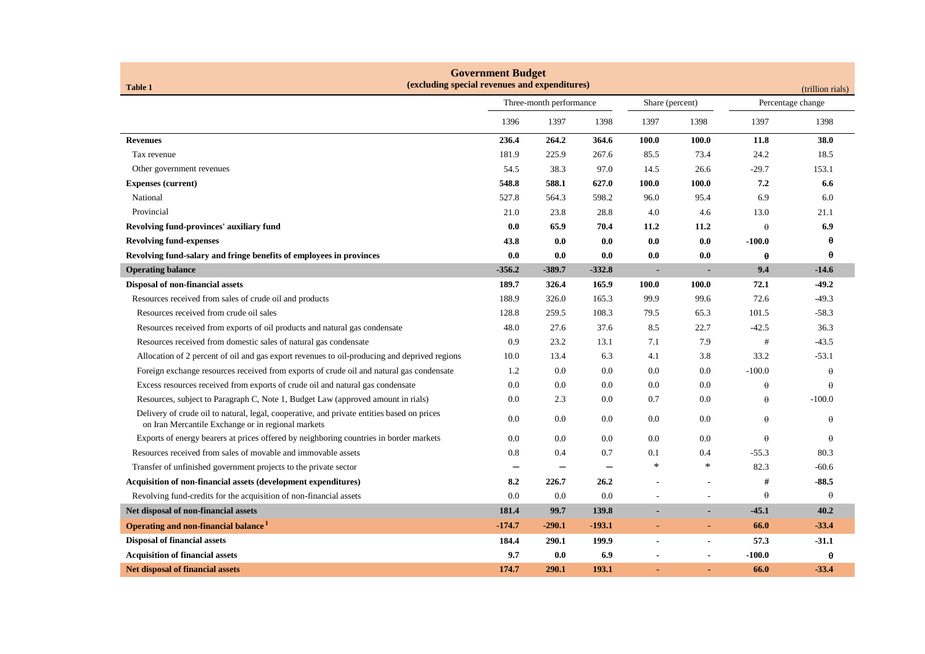| <b>Government Budget</b><br>(excluding special revenues and expenditures)<br><b>Table 1</b><br>(trillion rials)                                  |                          |                          |          |                          |                |                   |          |
|--------------------------------------------------------------------------------------------------------------------------------------------------|--------------------------|--------------------------|----------|--------------------------|----------------|-------------------|----------|
|                                                                                                                                                  | Three-month performance  |                          |          | Share (percent)          |                | Percentage change |          |
|                                                                                                                                                  | 1396                     | 1397                     | 1398     | 1397                     | 1398           | 1397              | 1398     |
| <b>Revenues</b>                                                                                                                                  | 236.4                    | 264.2                    | 364.6    | 100.0                    | 100.0          | 11.8              | 38.0     |
| Tax revenue                                                                                                                                      | 181.9                    | 225.9                    | 267.6    | 85.5                     | 73.4           | 24.2              | 18.5     |
| Other government revenues                                                                                                                        | 54.5                     | 38.3                     | 97.0     | 14.5                     | 26.6           | -29.7             | 153.1    |
| <b>Expenses (current)</b>                                                                                                                        | 548.8                    | 588.1                    | 627.0    | 100.0                    | 100.0          | 7.2               | 6.6      |
| National                                                                                                                                         | 527.8                    | 564.3                    | 598.2    | 96.0                     | 95.4           | 6.9               | 6.0      |
| Provincial                                                                                                                                       | 21.0                     | 23.8                     | 28.8     | 4.0                      | 4.6            | 13.0              | 21.1     |
| Revolving fund-provinces' auxiliary fund                                                                                                         | 0.0                      | 65.9                     | 70.4     | 11.2                     | 11.2           | $\theta$          | 6.9      |
| <b>Revolving fund-expenses</b>                                                                                                                   | 43.8                     | 0.0                      | 0.0      | 0.0                      | 0.0            | $-100.0$          | θ        |
| Revolving fund-salary and fringe benefits of employees in provinces                                                                              | 0.0                      | 0.0                      | 0.0      | $\mathbf{0.0}$           | 0.0            | θ                 | θ        |
| <b>Operating balance</b>                                                                                                                         | $-356.2$                 | $-389.7$                 | $-332.8$ | $\overline{\phantom{a}}$ |                | 9.4               | $-14.6$  |
| Disposal of non-financial assets                                                                                                                 | 189.7                    | 326.4                    | 165.9    | <b>100.0</b>             | 100.0          | 72.1              | $-49.2$  |
| Resources received from sales of crude oil and products                                                                                          | 188.9                    | 326.0                    | 165.3    | 99.9                     | 99.6           | 72.6              | $-49.3$  |
| Resources received from crude oil sales                                                                                                          | 128.8                    | 259.5                    | 108.3    | 79.5                     | 65.3           | 101.5             | $-58.3$  |
| Resources received from exports of oil products and natural gas condensate                                                                       | 48.0                     | 27.6                     | 37.6     | 8.5                      | 22.7           | $-42.5$           | 36.3     |
| Resources received from domestic sales of natural gas condensate                                                                                 | 0.9                      | 23.2                     | 13.1     | 7.1                      | 7.9            | #                 | $-43.5$  |
| Allocation of 2 percent of oil and gas export revenues to oil-producing and deprived regions                                                     | 10.0                     | 13.4                     | 6.3      | 4.1                      | 3.8            | 33.2              | $-53.1$  |
| Foreign exchange resources received from exports of crude oil and natural gas condensate                                                         | 1.2                      | 0.0                      | 0.0      | 0.0                      | 0.0            | $-100.0$          | $\theta$ |
| Excess resources received from exports of crude oil and natural gas condensate                                                                   | 0.0                      | 0.0                      | 0.0      | 0.0                      | 0.0            | $\theta$          | θ        |
| Resources, subject to Paragraph C, Note 1, Budget Law (approved amount in rials)                                                                 | 0.0                      | 2.3                      | $0.0\,$  | 0.7                      | $0.0\,$        | $\theta$          | $-100.0$ |
| Delivery of crude oil to natural, legal, cooperative, and private entities based on prices<br>on Iran Mercantile Exchange or in regional markets | 0.0                      | 0.0                      | 0.0      | 0.0                      | 0.0            | $\theta$          | $\theta$ |
| Exports of energy bearers at prices offered by neighboring countries in border markets                                                           | 0.0                      | 0.0                      | 0.0      | 0.0                      | 0.0            | $\theta$          | $\theta$ |
| Resources received from sales of movable and immovable assets                                                                                    | 0.8                      | 0.4                      | 0.7      | 0.1                      | 0.4            | $-55.3$           | 80.3     |
| Transfer of unfinished government projects to the private sector                                                                                 | $\overline{\phantom{0}}$ | $\overline{\phantom{0}}$ |          | $\ast$                   | $\ast$         | 82.3              | $-60.6$  |
| Acquisition of non-financial assets (development expenditures)                                                                                   | 8.2                      | 226.7                    | 26.2     |                          |                | #                 | $-88.5$  |
| Revolving fund-credits for the acquisition of non-financial assets                                                                               | 0.0                      | 0.0                      | 0.0      |                          |                | $\theta$          | $\theta$ |
| Net disposal of non-financial assets                                                                                                             | 181.4                    | 99.7                     | 139.8    |                          |                | $-45.1$           | 40.2     |
| Operating and non-financial balance <sup>1</sup>                                                                                                 | $-174.7$                 | $-290.1$                 | $-193.1$ | $\sim$                   | $\blacksquare$ | 66.0              | $-33.4$  |
| <b>Disposal of financial assets</b>                                                                                                              | 184.4                    | 290.1                    | 199.9    | $\overline{\phantom{a}}$ | $\blacksquare$ | 57.3              | $-31.1$  |
| <b>Acquisition of financial assets</b>                                                                                                           | 9.7                      | 0.0                      | 6.9      |                          |                | $-100.0$          | θ        |
| <b>Net disposal of financial assets</b>                                                                                                          | 174.7                    | 290.1                    | 193.1    |                          |                | 66.0              | $-33.4$  |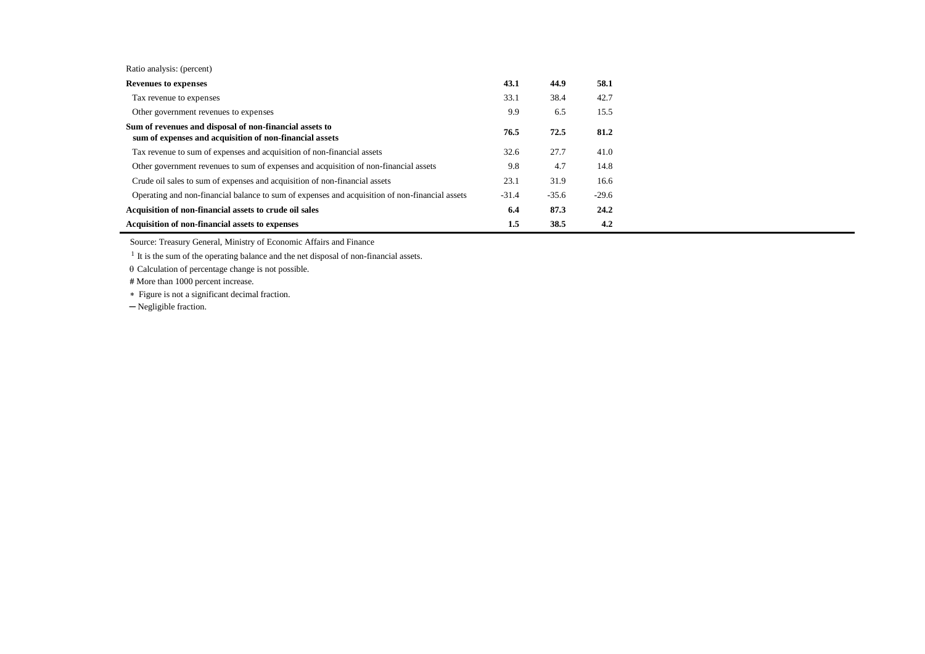|  | Ratio analysis: (percent) |  |
|--|---------------------------|--|
|--|---------------------------|--|

| <b>Revenues to expenses</b>                                                                                        | 43.1    | 44.9    | 58.1    |
|--------------------------------------------------------------------------------------------------------------------|---------|---------|---------|
| Tax revenue to expenses                                                                                            | 33.1    | 38.4    | 42.7    |
| Other government revenues to expenses                                                                              | 9.9     | 6.5     | 15.5    |
| Sum of revenues and disposal of non-financial assets to<br>sum of expenses and acquisition of non-financial assets | 76.5    | 72.5    | 81.2    |
| Tax revenue to sum of expenses and acquisition of non-financial assets                                             | 32.6    | 27.7    | 41.0    |
| Other government revenues to sum of expenses and acquisition of non-financial assets                               | 9.8     | 4.7     | 14.8    |
| Crude oil sales to sum of expenses and acquisition of non-financial assets                                         | 23.1    | 31.9    | 16.6    |
| Operating and non-financial balance to sum of expenses and acquisition of non-financial assets                     | $-31.4$ | $-35.6$ | $-29.6$ |
| Acquisition of non-financial assets to crude oil sales                                                             | 6.4     | 87.3    | 24.2    |
| Acquisition of non-financial assets to expenses                                                                    | $1.5\,$ | 38.5    | 4.2     |

Source: Treasury General, Ministry of Economic Affairs and Finance

<sup>1</sup> It is the sum of the operating balance and the net disposal of non-financial assets.

 $\theta$  Calculation of percentage change is not possible.

**#** More than 1000 percent increase.

Figure is not a significant decimal fraction.

─ Negligible fraction.